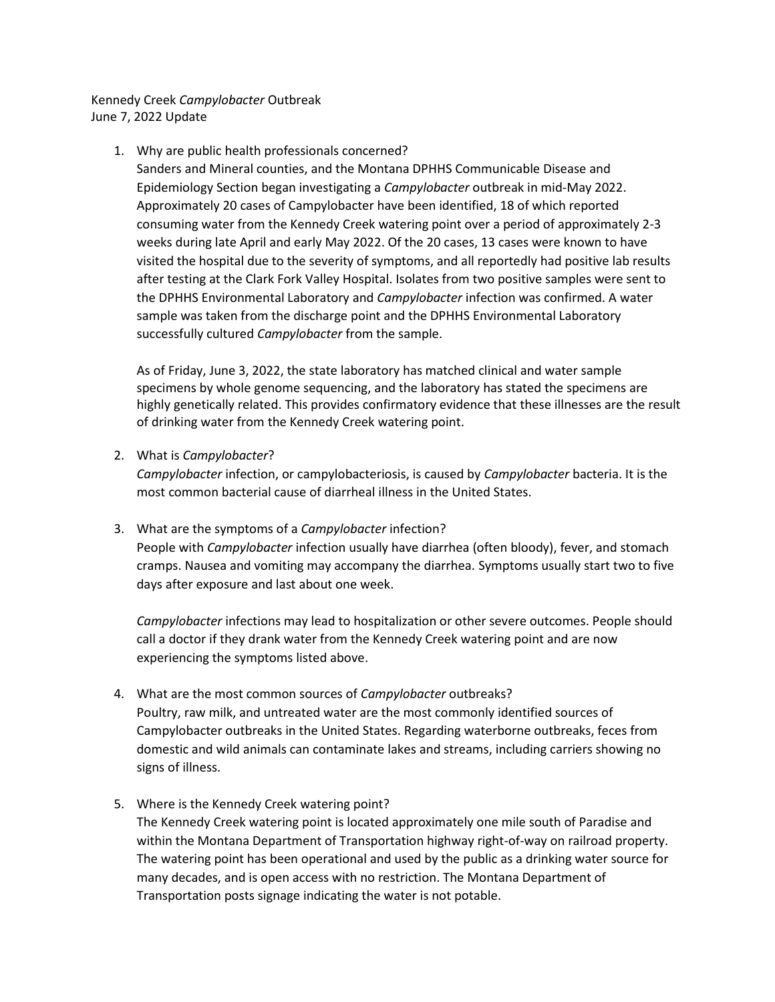Kennedy Creek *Campylobacter* Outbreak June 7, 2022 Update

### 1. Why are public health professionals concerned?

Sanders and Mineral counties, and the Montana DPHHS Communicable Disease and Epidemiology Section began investigating a *Campylobacter* outbreak in mid-May 2022. Approximately 20 cases of Campylobacter have been identified, 18 of which reported consuming water from the Kennedy Creek watering point over a period of approximately 2-3 weeks during late April and early May 2022. Of the 20 cases, 13 cases were known to have visited the hospital due to the severity of symptoms, and all reportedly had positive lab results after testing at the Clark Fork Valley Hospital. Isolates from two positive samples were sent to the DPHHS Environmental Laboratory and *Campylobacter* infection was confirmed. A water sample was taken from the discharge point and the DPHHS Environmental Laboratory successfully cultured *Campylobacter* from the sample.

As of Friday, June 3, 2022, the state laboratory has matched clinical and water sample specimens by whole genome sequencing, and the laboratory has stated the specimens are highly genetically related. This provides confirmatory evidence that these illnesses are the result of drinking water from the Kennedy Creek watering point.

# 2. What is *Campylobacter*?

*Campylobacter* infection, or campylobacteriosis, is caused by *Campylobacter* bacteria. It is the most common bacterial cause of diarrheal illness in the United States.

### 3. What are the symptoms of a *Campylobacter* infection?

People with *Campylobacter* infection usually have diarrhea (often bloody), fever, and stomach cramps. Nausea and vomiting may accompany the diarrhea. Symptoms usually start two to five days after exposure and last about one week.

*Campylobacter* infections may lead to hospitalization or other severe outcomes. People should call a doctor if they drank water from the Kennedy Creek watering point and are now experiencing the symptoms listed above.

#### 4. What are the most common sources of *Campylobacter* outbreaks?

Poultry, raw milk, and untreated water are the most commonly identified sources of Campylobacter outbreaks in the United States. Regarding waterborne outbreaks, feces from domestic and wild animals can contaminate lakes and streams, including carriers showing no signs of illness.

# 5. Where is the Kennedy Creek watering point?

The Kennedy Creek watering point is located approximately one mile south of Paradise and within the Montana Department of Transportation highway right-of-way on railroad property. The watering point has been operational and used by the public as a drinking water source for many decades, and is open access with no restriction. The Montana Department of Transportation posts signage indicating the water is not potable.